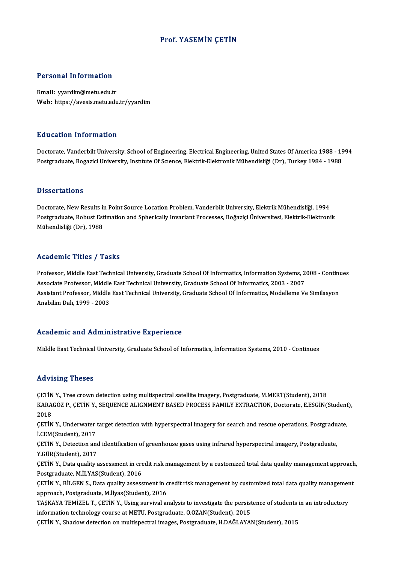#### Prof. YASEMİN ÇETİN

#### Personal Information

Email: yyardim@metu.edu.tr Web: https://avesis.metu.edu.tr/yyardim

#### Education Information

Education Information<br>Doctorate, Vanderbilt University, School of Engineering, Electrical Engineering, United States Of America 1988 - 1994<br>Postsraduate Posarisi University, Institute Of Science, Elektrik Elektronik Mühend Pu u sustem "Milot Muston"<br>Doctorate, Vanderbilt University, School of Engineering, Electrical Engineering, United States Of America 1988<br>Postgraduate, Bogazici University, Institute Of Scıence, Elektrik-Elektronik Mühendi Postgraduate, Bogazici University, Institute Of Science, Elektrik-Elektronik Mühendisliği (Dr), Turkey 1984 - 1988<br>Dissertations

Dissertations<br>Doctorate, New Results in Point Source Location Problem, Vanderbilt University, Elektrik Mühendisliği, 1994<br>Postanaduata Pobust Estimation and Spharisally Invariant Processes, Počarisi Üniversitesi, Elektrik D'isser tatronis<br>Doctorate, New Results in Point Source Location Problem, Vanderbilt University, Elektrik Mühendisliği, 1994<br>Postgraduate, Robust Estimation and Spherically Invariant Processes, Boğaziçi Üniversitesi, Elekt Doctorate, New Results ii<br>Postgraduate, Robust Est<br>Mühendisliği (Dr), 1988

## Mühendisliği (Dr), 1988<br>Academic Titles / Tasks

Academic Titles / Tasks<br>Professor, Middle East Technical University, Graduate School Of Informatics, Information Systems, 2008 - Continues<br>Associate Professor, Middle Fast Technical University, Craduate School Of Informati Associate Article 7 Tubate<br>Professor, Middle East Technical University, Graduate School Of Informatics, Information Systems, 2<br>Associate Professor, Middle East Technical University, Graduate School Of Informatics, 2003 - 2 Professor, Middle East Technical University, Graduate School Of Informatics, Information Systems, 2008 - Contin<br>Associate Professor, Middle East Technical University, Graduate School Of Informatics, 2003 - 2007<br>Assistant P Associate Professor, Middle East Technical University, Graduate School Of Informatics, 2003 - 2007<br>Assistant Professor, Middle East Technical University, Graduate School Of Informatics, Modelleme Ve Similasyon<br>Anabilim Dal

#### Academic and Administrative Experience

Middle East Technical University, Graduate School of Informatics, Information Systems, 2010 - Continues

#### Advising Theses

Advising Theses<br>ÇETİN Y., Tree crown detection using multispectral satellite imagery, Postgraduate, M.MERT(Student), 2018<br>KARAÇÖZ B. GETİN Y. SEQUENCE ALICNMENT RASED PROCESS FAMILY EYTRACTION Doctorate E ESCİN() TER VISTING TIRSSES<br>ÇETİN Y., Tree crown detection using multispectral satellite imagery, Postgraduate, M.MERT(Student), 2018<br>KARAGÖZ P., ÇETİN Y., SEQUENCE ALIGNMENT BASED PROCESS FAMILY EXTRACTION, Doctorate, E.ESGİN(Stu CETIN<br>KARA<br>2018<br>CETIN KARAGÖZ P., ÇETİN Y., SEQUENCE ALIGNMENT BASED PROCESS FAMILY EXTRACTION, Doctorate, E.ESGİN(Student<br>2018<br>ÇETİN Y., Underwater target detection with hyperspectral imagery for search and rescue operations, Postgraduate,<br>İ.C

2018<br>ÇETİN Y., Underwater<br>İ.CEM(Student), 2017<br>CETİN Y., Detection an ÇETİN Y., Underwater target detection with hyperspectral imagery for search and rescue operations, Postgraduate, İ.CEM(Student), 2017<br>CEM(Student), 2017<br>CETİN Y., Detection and identification of greenhouse gases using infr

İ.CEM(Student), 2017<br>ÇETİN Y., Detection and<br>Y.GÜR(Student), 2017<br>CETİN Y. Data qualitya ÇETİN Y., Detection and identification of greenhouse gases using infrared hyperspectral imagery, Postgraduate,<br>Y.GÜR(Student), 2017<br>ÇETİN Y., Data quality assessment in credit risk management by a customized total data qua

Y.GÜR(Student), 2017<br>ÇETİN Y., Data quality assessment in cre<br>Postgraduate, M.İLYAS(Student), 2016<br>CETİN Y. PİLGEN S. Data quality assess ÇETİN Y., Data quality assessment in credit risk management by a customized total data quality management approach<br>Postgraduate, M.İLYAS(Student), 2016<br>ÇETİN Y., BİLGEN S., Data quality assessment in credit risk management

Postgraduate, M.İLYAS(Student), 2016<br>ÇETİN Y., BİLGEN S., Data quality assessment in o<br>approach, Postgraduate, M.İlyas(Student), 2016 CETIN Y., BILGEN S., Data quality assessment in credit risk management by customized total data quality management<br>approach, Postgraduate, M.Ilyas(Student), 2016<br>TAŞKAYA TEMİZEL T., ÇETİN Y., Using survival analysis to inv

TASKAYA TEMIZEL T., CETIN Y., Using survival analysis to investigate the persistence of students in an introductory

ÇETİNY.,Shadowdetectiononmultispectral images,Postgraduate,H.DAĞLAYAN(Student),2015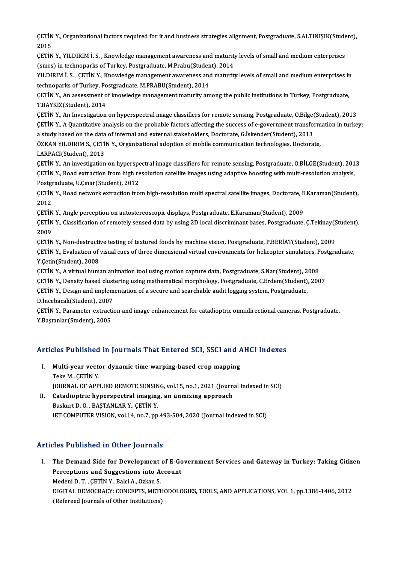ÇETİN Y., Organizational factors required for it and business strategies alignment, Postgraduate, S.ALTINIŞIK(Student),<br>2015 CETIN<br>2015<br>CETIN CETİN Y., Organizational factors required for it and business strategies alignment, Postgraduate, S.ALTINIŞIK(Stude<br>2015<br>CETİN Y., YILDIRIM İ. S. , Knowledge management awareness and maturity levels of small and medium ent

2015<br>ÇETİN Y., YILDIRIM İ. S. , Knowledge management awareness and maturity<br>(smes) in technoparks of Turkey, Postgraduate, M.Prabu(Student), 2014<br>VU DIRIM İ. S., GETİN Y., Knovledge management ayrıcanese and maturit

CETIN Y., YILDIRIM I. S. , Knowledge management awareness and maturity levels of small and medium enterprises (smes) in technoparks of Turkey, Postgraduate, M.Prabu(Student), 2014<br>YILDIRIM I. S. , CETIN Y., Knowledge manag (smes) in technoparks of Turkey, Postgraduate, M.Prabu(Studen<br>YILDIRIM İ. S. , ÇETİN Y., Knowledge management awareness and<br>technoparks of Turkey, Postgraduate, M.PRABU(Student), 2014<br>CETİN Y. An assessment of Imowledge ma YILDIRIM İ. S. , ÇETİN Y., Knowledge management awareness and maturity levels of small and medium enterprises in<br>technoparks of Turkey, Postgraduate, M.PRABU(Student), 2014<br>ÇETİN Y., An assessment of knowledge management m

technoparks of Turkey, Po<br>ÇETİN Y., An assessment o<br>T.BAYKIZ(Student), 2014<br>CETİN Y...An Investization CETIN Y., An assessment of knowledge management maturity among the public institutions in Turkey, Postgraduate,<br>T.BAYKIZ(Student), 2014<br>CETIN Y., An Investigation on hyperspectral image classifiers for remote sensing, Post

T.BAYKIZ(Student), 2014<br>ÇETİN Y., An Investigation on hyperspectral image classifiers for remote sensing, Postgraduate, O.Bilge(Student), 2013<br>ÇETİN Y., A Quantitative analysis on the probable factors affecting the success CETIN Y., An Investigation on hyperspectral image classifiers for remote sensing, Postgraduate, O.Bilge<br>CETIN Y., A Quantitative analysis on the probable factors affecting the success of e-government transfor<br>a study based ÇETİN Y., A Quantitative analysis on the probable factors affecting the success of e-government transform<br>a study based on the data of internal and external stakeholders, Doctorate, G.İskender(Student), 2013<br>ÖZKAN YILDIRIM

a study based on the data of internal and external stakeholders, Doctorate, G.İskender(Student), 2013<br>ÖZKAN YILDIRIM S., ÇETİN Y., Organizational adoption of mobile communication technologies, Doctorate,<br>İ.ARPACI(Student), ÖZKAN YILDIRIM S., ÇETİN Y., Organizational adoption of mobile communication technologies, Doctorate,<br>İ.ARPACI(Student), 2013<br>ÇETİN Y., An investigation on hyperspectral image classifiers for remote sensing, Postgraduate,

İ.ARPACI(Student), 2013<br>ÇETİN Y., An investigation on hyperspectral image classifiers for remote sensing, Postgraduate, O.BİLGE(Student), 201<br>ÇETİN Y., Road extraction from high resolution satellite images using adaptive b CETIN Y., An investigation on hyperspe<br>CETIN Y., Road extraction from high re<br>Postgraduate, U.C.mar(Student), 2012<br>CETIN Y., Boad naturals extraction fro ÇETİN Y., Road extraction from high resolution satellite images using adaptive boosting with multi-resolution analysis,<br>Postgraduate, U.Çınar(Student), 2012<br>ÇETİN Y., Road network extraction from high-resolution multi spec

Postgraduate, U.Çınar(Student), 2012<br>ÇETİN Y., Road network extraction from high-resolution multi spectral satellite images, Doctorate, I<br>2012<br>ÇETİN Y., Angle perception on autostereoscopic displays, Postgraduate, E.Karama ÇETİN Y., Road network extraction from high-resolution multi spectral satellite images, Doctorate, E<br>2012<br>ÇETİN Y., Angle perception on autostereoscopic displays, Postgraduate, E.Karaman(Student), 2009<br>CETİN Y., Angle perc

2012<br>ÇETİN Y., Angle perception on autostereoscopic displays, Postgraduate, E.Karaman(Student), 2009<br>ÇETİN Y., Classification of remotely sensed data by using 2D local discriminant bases, Postgraduate, Ç.Tekinay(Student),<br> <mark>ÇETÎN</mark><br>ÇETÎN<br>2009<br>CETÎN ÇETİN Y., Classification of remotely sensed data by using 2D local discriminant bases, Postgraduate, Ç.Tekinay(S<br>2009<br>ÇETİN Y., Non-destructive testing of textured foods by machine vision, Postgraduate, P.BERİAT(Student),

2009<br>ÇETİN Y., Non-destructive testing of textured foods by machine vision, Postgraduate, P.BERİAT(Student), 2009<br>ÇETİN Y., Evaluation of visual cues of three dimensional virtual environments for helicopter simulators, Pos CETIN Y., Non-destructi<br>CETIN Y., Evaluation of<br>Y.Cetin(Student), 2008<br>CETIN Y. A virtual hum ÇETİN Y., Evaluation of visual cues of three dimensional virtual environments for helicopter simulators, P<br>Y.Çetin(Student), 2008<br>ÇETİN Y., A virtual human animation tool using motion capture data, Postgraduate, S.Nar(Stud Y.Çetin(Student), 2008<br>ÇETİN Y., A virtual human animation tool using motion capture data, Postgraduate, S.Nar(Student), 2008<br>ÇETİN Y., Density based clustering using mathematical morphology, Postgraduate, C.Erdem(Student)

ÇETİN Y., A virtual human animation tool using motion capture data, Postgraduate, S.Nar(Student), 2008<br>ÇETİN Y., Density based clustering using mathematical morphology, Postgraduate, C.Erdem(Student), 200<br>ÇETİN Y., Design CETIN Y., Density based clust<br>CETIN Y., Design and implem<br>D.İncebacak(Student), 2007<br>CETIN Y., Paramatar autracti ÇETİN Y., Design and implementation of a secure and searchable audit logging system, Postgraduate,<br>D.İncebacak(Student), 2007<br>ÇETİN Y., Parameter extraction and image enhancement for catadioptric omnidirectional cameras, P

D.İncebacak(Student), 2007<br>ÇETİN Y., Parameter extracti<br>Y.Baştanlar(Student), 2005

# r.Baştaniar(Student), 2005<br>Articles Published in Journals That Entered SCI, SSCI and AHCI Indexes

- rticles Published in Journals That Entered SCI, SSCI and A<br>I. Multi-year vector dynamic time warping-based crop mapping<br>Teke M. CETIN V. Multi-year vector dynamic time warping-based crop mapping<br>Teke M., ÇETİN Y. JOURNAL OF APPLIED REMOTE SENSING, vol.15, no.1, 2021 (Journal Indexed in SCI)
- II. Catadioptric hyperspectral imaging, an unmixing approach BaskurtD.O. ,BAŞTANLARY.,ÇETİNY. IET COMPUTER VISION, vol.14, no.7, pp.493-504, 2020 (Journal Indexed in SCI)

## Articles Published in Other Journals

I. The Demand Side for Development of E-Government Services and Gateway in Turkey: Taking Citizen The Demand Side for Development of E-Go<br>Perceptions and Suggestions into Account<br>Medani D.T. CETIN V. Baki A. Orkan S. The Demand Side for Development<br>Perceptions and Suggestions into A<br>Medeni D.T. , ÇETİN Y., Balci A., Ozkan S.<br>DICITAL DEMOCRACY: CONCERTS METI Perceptions and Suggestions into Account<br>Medeni D. T. , ÇETİN Y., Balci A., Ozkan S.<br>DIGITAL DEMOCRACY: CONCEPTS, METHODOLOGIES, TOOLS, AND APPLICATIONS, VOL 1, pp.1386-1406, 2012<br>(Refereed Journals of Other Institutions) Medeni D. T. , ÇETİN Y., Balci A., Ozkan S.<br>DIGITAL DEMOCRACY: CONCEPTS, METH<br>(Refereed Journals of Other Institutions)